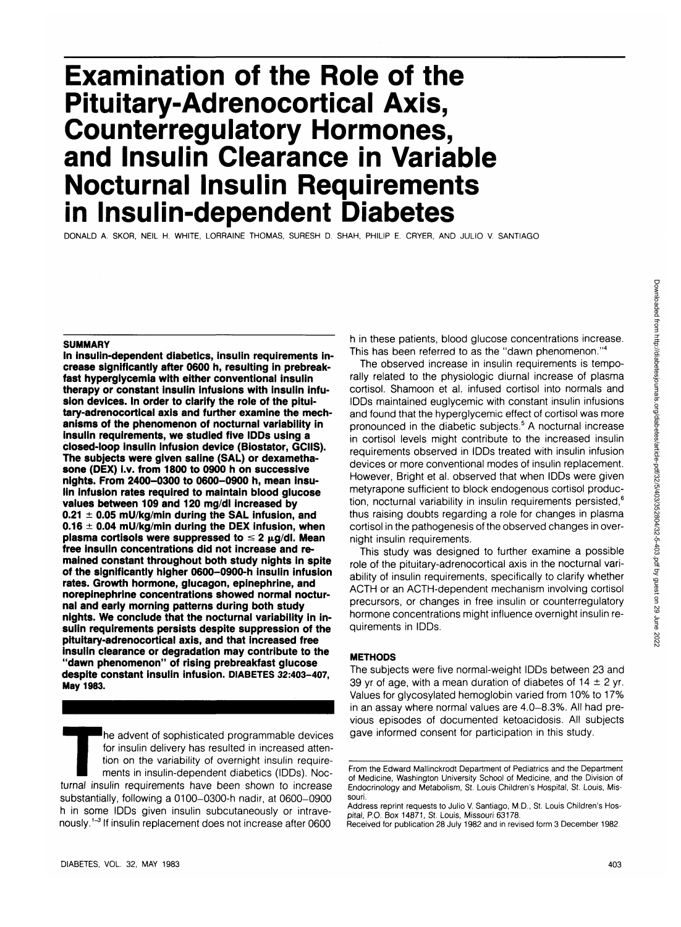# **Examination of the Role of the Pituitary-Adrenocortical Axis, Counterregulatory Hormones, and Insulin Clearance in Variable Nocturnal Insulin Requirements in Insulin-dependent Diabetes**

DONALD A. SKOR, NEIL H. WHITE, LORRAINE THOMAS, SURESH D. SHAH, PHILIP E. CRYER, AND JULIO V. SANTIAGO

#### **SUMMARY**

**In insulin-dependent diabetics, insulin requirements increase significantly after 0600 h, resulting in prebreakfast hyperglycemia with either conventional insulin therapy or constant insulin infusions with insulin infusion devices. In order to clarify the role of the pituitary-adrenocortical axis and further examine the mechanisms of the phenomenon of nocturnal variability in insulin requirements, we studied five IDDs using a closed-loop insulin infusion device (Biostator, GCIIS). The subjects were given saline (SAL) or dexamethasone (DEX) i.v. from 1800 to 0900 h on successive nights. From 2400-0300 to 0600-0900 h, mean insulin infusion rates required to maintain blood glucose values between 109 and 120 mg/dl increased by 0.21 ± 0.05 mU/kg/min during the SAL infusion, and 0.16 ± 0.04 mU/kg/min during the DEX infusion, when** plasma cortisols were suppressed to  $\leq 2 \mu q/dl$ . Mean **free insulin concentrations did not increase and remained constant throughout both study nights in spite of the significantly higher 0600-0900-h insulin infusion rates. Growth hormone, glucagon, epinephrine, and norepinephrine concentrations showed normal nocturnal and early morning patterns during both study nights. We conclude that the nocturnal variability in insulin requirements persists despite suppression of the pituitary-adrenocortical axis, and that increased free insulin clearance or degradation may contribute to the "dawn phenomenon" of rising prebreakfast glucose despite constant insulin infusion. DIABETES 32:403-407, May 1983.**

The advent of sophisticated programmable devices<br>for insulin delivery has resulted in increased atten-<br>tion on the variability of overnight insulin require-<br>ments in insulin-dependent diabetics (IDDs). Noc-<br>turnal insulin for insulin delivery has resulted in increased attention on the variability of overnight insulin requirements in insulin-dependent diabetics (IDDs). Nocsubstantially, following a 0100-0300-h nadir, at 0600-0900 h in some IDDs given insulin subcutaneously or intravenously.<sup>1-3</sup> If insulin replacement does not increase after 0600

h in these patients, blood glucose concentrations increase. This has been referred to as the "dawn phenomenon."<sup>4</sup>

The observed increase in insulin requirements is temporally related to the physiologic diurnal increase of plasma cortisol. Shamoon et al. infused cortisol into normals and IDDs maintained euglycemic with constant insulin infusions and found that the hyperglycemic effect of cortisol was more pronounced in the diabetic subjects.<sup>5</sup> A nocturnal increase in cortisol levels might contribute to the increased insulin requirements observed in IDDs treated with insulin infusion devices or more conventional modes of insulin replacement. However, Bright et al. observed that when IDDs were given metyrapone sufficient to block endogenous cortisol production, nocturnal variability in insulin requirements persisted,<sup>6</sup> thus raising doubts regarding a role for changes in plasma cortisol in the pathogenesis of the observed changes in overnight insulin requirements.

This study was designed to further examine a possible role of the pituitary-adrenocortical axis in the nocturnal variability of insulin requirements, specifically to clarify whether ACTH or an ACTH-dependent mechanism involving cortisol precursors, or changes in free insulin or counterregulatory hormone concentrations might influence overnight insulin requirements in IDDs.

# **METHODS**

The subjects were five normal-weight IDDs between 23 and 39 yr of age, with a mean duration of diabetes of  $14 \pm 2$  yr. Values for glycosylated hemoglobin varied from 10% to 17% in an assay where normal values are 4.0-8.3%. All had previous episodes of documented ketoacidosis. All subjects gave informed consent for participation in this study.

From the Edward Mallinckrodt Department of Pediatrics and the Department of Medicine, Washington University School of Medicine, and the Division of Endocrinology and Metabolism, St. Louis Children's Hospital, St. Louis, Missouri.

Address reprint requests to Julio V. Santiago, M.D., St. Louis Children's Hospital, P.O. Box 14871, St. Louis, Missouri 63178.

Received for publication 28 July 1982 and in revised form 3 December 1982.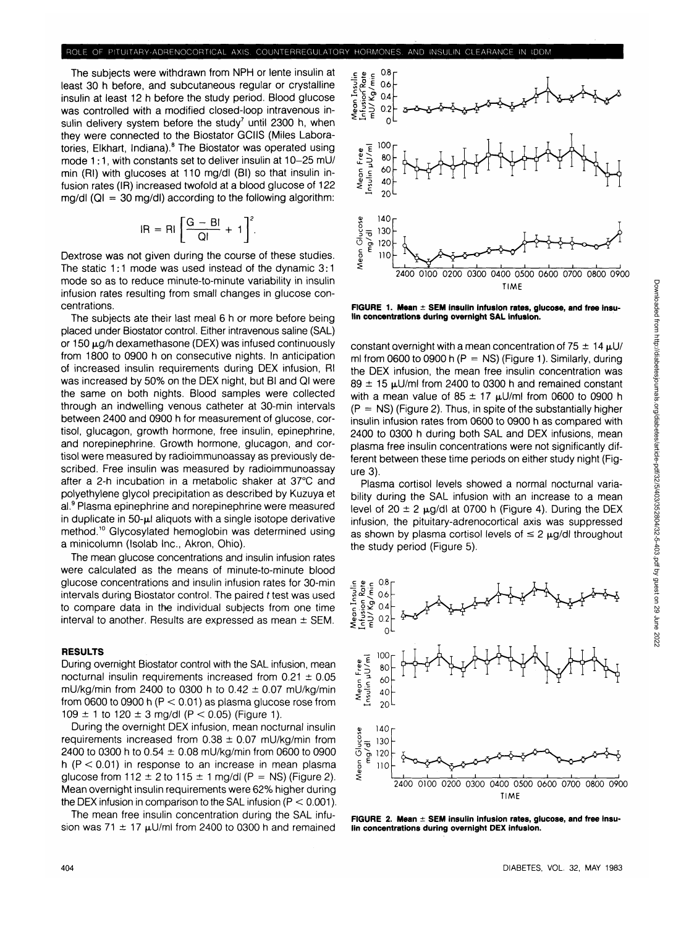The subjects were withdrawn from NPH or lente insulin at least 30 h before, and subcutaneous regular or crystalline insulin at least 12 h before the study period. Blood glucose was controlled with a modified closed-loop intravenous insulin delivery system before the study<sup>7</sup> until 2300 h, when they were connected to the Biostator GCIIS (Miles Laboratories, Elkhart, Indiana).<sup>8</sup> The Biostator was operated using mode 1:1, with constants set to deliver insulin at 10-25 mU/ min (Rl) with glucoses at 110 mg/dl (Bl) so that insulin infusion rates (IR) increased twofold at a blood glucose of 122  $mq/dI$  ( $QI = 30$  mg/dl) according to the following algorithm:

$$
IR = Ri \left[ \frac{G - Bl}{QI} + 1 \right]^2
$$

Dextrose was not given during the course of these studies. The static 1:1 mode was used instead of the dynamic 3:1 mode so as to reduce minute-to-minute variability in insulin infusion rates resulting from small changes in glucose concentrations.

The subjects ate their last meal 6 h or more before being placed under Biostator control. Either intravenous saline (SAL) or  $150 \mu$ g/h dexamethasone (DEX) was infused continuously from 1800 to 0900 h on consecutive nights. In anticipation of increased insulin requirements during DEX infusion, Rl was increased by 50% on the DEX night, but Bl and Ql were the same on both nights. Blood samples were collected through an indwelling venous catheter at 30-min intervals between 2400 and 0900 h for measurement of glucose, cortisol, glucagon, growth hormone, free insulin, epinephrine, and norepinephrine. Growth hormone, glucagon, and cortisol were measured by radioimmunoassay as previously described. Free insulin was measured by radioimmunoassay after a 2-h incubation in a metabolic shaker at 37°C and polyethylene glycol precipitation as described by Kuzuya et al.<sup>9</sup> Plasma epinephrine and norepinephrine were measured in duplicate in  $50$ - $\mu$ l aliquots with a single isotope derivative method.<sup>10</sup> Glycosylated hemoglobin was determined using a minicolumn (Isolab Inc., Akron, Ohio).

The mean glucose concentrations and insulin infusion rates were calculated as the means of minute-to-minute blood glucose concentrations and insulin infusion rates for 30-min intervals during Biostator control. The paired f test was used to compare data in the individual subjects from one time interval to another. Results are expressed as mean  $\pm$  SEM.

#### **RESULTS**

During overnight Biostator control with the SAL infusion, mean nocturnal insulin requirements increased from  $0.21 \pm 0.05$ mU/kg/min from 2400 to 0300 h to  $0.42 \pm 0.07$  mU/kg/min from 0600 to 0900 h  $(P < 0.01)$  as plasma glucose rose from 109  $\pm$  1 to 120  $\pm$  3 mg/dl (P < 0.05) (Figure 1).

During the overnight DEX infusion, mean nocturnal insulin requirements increased from  $0.38 \pm 0.07$  mU/kg/min from 2400 to 0300 h to  $0.54 \pm 0.08$  mU/kg/min from 0600 to 0900 h ( $P < 0.01$ ) in response to an increase in mean plasma glucose from  $112 \pm 2$  to  $115 \pm 1$  mg/dl (P = NS) (Figure 2). Mean overnight insulin requirements were 62% higher during the DEX infusion in comparison to the SAL infusion ( $P < 0.001$ ).

The mean free insulin concentration during the SAL infusion was 71  $\pm$  17  $\mu$ U/ml from 2400 to 0300 h and remained



**FIGURE 1. Mean ± SEM insulin infusion rates, glucose, and free insulin concentrations during overnight SAL infusion.**

constant overnight with a mean concentration of  $75 \pm 14 \text{ }\mu\text{U}$ ml from 0600 to 0900 h ( $P = NS$ ) (Figure 1). Similarly, during the DEX infusion, the mean free insulin concentration was  $89 \pm 15$  µU/ml from 2400 to 0300 h and remained constant with a mean value of  $85 \pm 17$   $\mu$ U/ml from 0600 to 0900 h  $(P = NS)$  (Figure 2). Thus, in spite of the substantially higher insulin infusion rates from 0600 to 0900 h as compared with 2400 to 0300 h during both SAL and DEX infusions, mean plasma free insulin concentrations were not significantly different between these time periods on either study night (Figure 3).

Plasma cortisol levels showed a normal nocturnal variability during the SAL infusion with an increase to a mean level of  $20 \pm 2$   $\mu$ g/dl at 0700 h (Figure 4). During the DEX infusion, the pituitary-adrenocortical axis was suppressed as shown by plasma cortisol levels of  $\leq 2 \mu$ g/dl throughout the study period (Figure 5).



**FIGURE 2. Mean ± SEM insulin infusion rates, glucose, and free insulin concentrations during overnight DEX infusion.**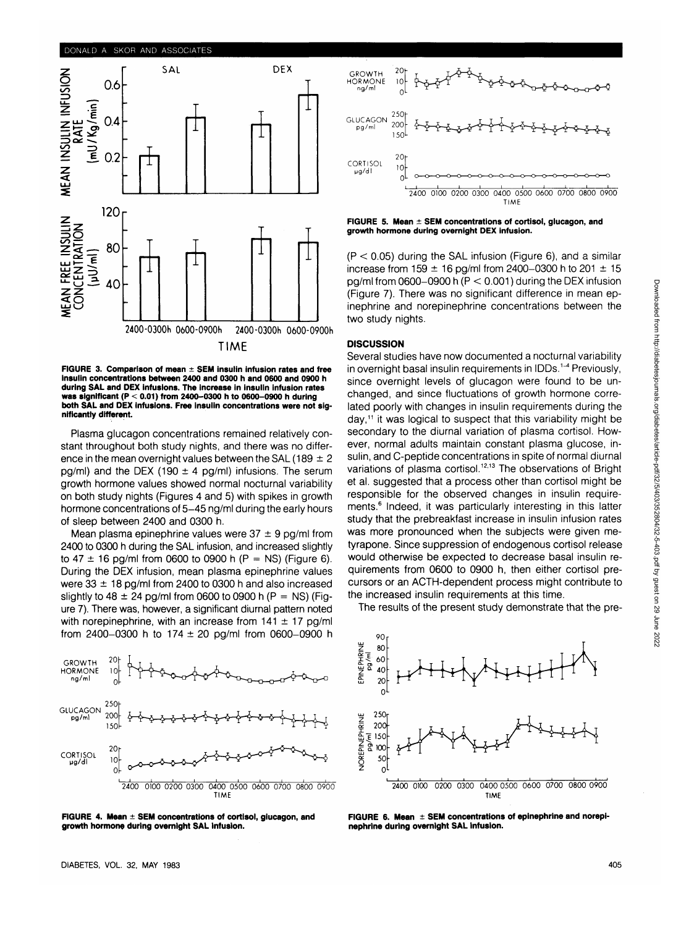

**FIGURE 3. Comparison of mean ± SEM insulin infusion rates and free insulin concentrations between 2400 and 0300 h and 0600 and 0900 h during SAL and DEX infusions. The increase in insulin infusion rates was significant (P < 0.01) from 2400-0300 h to 0600-0900 h during both SAL and DEX infusions. Free insulin concentrations were not significantly different.**

Plasma glucagon concentrations remained relatively constant throughout both study nights, and there was no difference in the mean overnight values between the SAL (189  $\pm$  2 pg/ml) and the DEX (190  $\pm$  4 pg/ml) infusions. The serum growth hormone values showed normal nocturnal variability on both study nights (Figures 4 and 5) with spikes in growth hormone concentrations of 5-45 ng/ml during the early hours of sleep between 2400 and 0300 h.

Mean plasma epinephrine values were  $37 \pm 9$  pg/ml from 2400 to 0300 h during the SAL infusion, and increased slightly to 47  $\pm$  16 pg/ml from 0600 to 0900 h (P = NS) (Figure 6). During the DEX infusion, mean plasma epinephrine values were  $33 \pm 18$  pg/ml from 2400 to 0300 h and also increased slightly to 48  $\pm$  24 pg/ml from 0600 to 0900 h (P = NS) (Figure 7). There was, however, a significant diurnal pattern noted with norepinephrine, with an increase from  $141 \pm 17$  pg/ml from 2400-0300 h to 174  $\pm$  20 pg/ml from 0600-0900 h



**FIGURE 4. Mean ± SEM concentrations of cortisol, glucagon, and growth hormone during overnight SAL infusion.**



**FIGURE 5. Mean ± SEM concentrations of cortisol, glucagon, and growth hormone during overnight DEX infusion.**

 $(P < 0.05)$  during the SAL infusion (Figure 6), and a similar increase from 159  $\pm$  16 pg/ml from 2400-0300 h to 201  $\pm$  15 pg/ml from 0600-0900 h ( $P < 0.001$ ) during the DEX infusion (Figure 7). There was no significant difference in mean epinephrine and norepinephrine concentrations between the two study nights.

### **DISCUSSION**

Several studies have now documented a nocturnal variability in overnight basal insulin requirements in IDDs.<sup>1-4</sup> Previously, since overnight levels of glucagon were found to be unchanged, and since fluctuations of growth hormone correlated poorly with changes in insulin requirements during the day,<sup>11</sup> it was logical to suspect that this variability might be secondary to the diurnal variation of plasma cortisol. However, normal adults maintain constant plasma glucose, insulin, and C-peptide concentrations in spite of normal diurnal variations of plasma cortisol.<sup>12,13</sup> The observations of Bright et al. suggested that a process other than cortisol might be responsible for the observed changes in insulin requirements.<sup>6</sup> Indeed, it was particularly interesting in this latter study that the prebreakfast increase in insulin infusion rates was more pronounced when the subjects were given metyrapone. Since suppression of endogenous cortisol release would otherwise be expected to decrease basal insulin requirements from 0600 to 0900 h, then either cortisol precursors or an ACTH-dependent process might contribute to the increased insulin requirements at this time.

Downloaded from http://diabetesjournals.org/diabetes/article-pdf/32/5/403/352804/32-5-403.pdf by guest on 29 June 2022 Downloaded from http://diabetesjournals.org/diabetes/article-pdf/32/5/403/352804/32-5-403.pdf by guest on 29 June 2022

The results of the present study demonstrate that the pre-



**FIGURE 6. Mean ± SEM concentrations of epinephrine and norepinephrine during overnight SAL infusion.**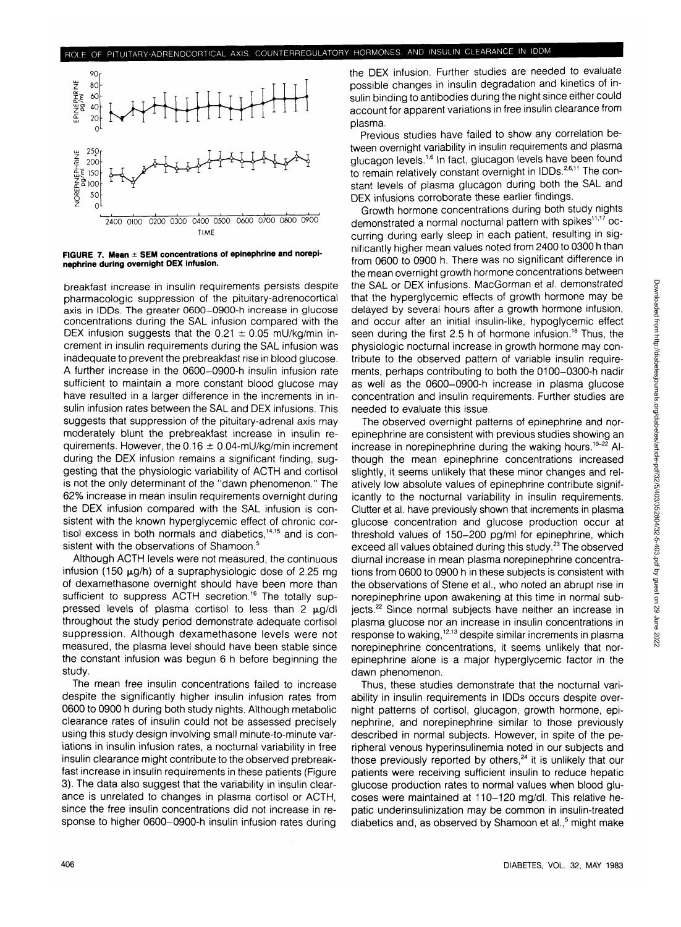

**FIGURE 7. Mean ± SEM concentrations of epinephrine and norepinephrine during overnight DEX infusion.**

breakfast increase in insulin requirements persists despite pharmacologic suppression of the pituitary-adrenocortical axis in IDDs. The greater 0600-0900-h increase in glucose concentrations during the SAL infusion compared with the DEX infusion suggests that the  $0.21 \pm 0.05$  mU/kg/min increment in insulin requirements during the SAL infusion was inadequate to prevent the prebreakfast rise in blood glucose. A further increase in the 0600-0900-h insulin infusion rate sufficient to maintain a more constant blood glucose may have resulted in a larger difference in the increments in insulin infusion rates between the SAL and DEX infusions. This suggests that suppression of the pituitary-adrenal axis may moderately blunt the prebreakfast increase in insulin requirements. However, the  $0.16 \pm 0.04$ -mU/kg/min increment during the DEX infusion remains a significant finding, suggesting that the physiologic variability of ACTH and cortisol is not the only determinant of the "dawn phenomenon." The 62% increase in mean insulin requirements overnight during the DEX infusion compared with the SAL infusion is consistent with the known hyperglycemic effect of chronic cortisol excess in both normals and diabetics,<sup>14,15</sup> and is consistent with the observations of Shamoon.<sup>5</sup>

Although ACTH levels were not measured, the continuous infusion (150  $\mu$ g/h) of a supraphysiologic dose of 2.25 mg of dexamethasone overnight should have been more than sufficient to suppress ACTH secretion.<sup>16</sup> The totally suppressed levels of plasma cortisol to less than  $2 \text{ }\mu\text{d/d}$ throughout the study period demonstrate adequate cortisol suppression. Although dexamethasone levels were not measured, the plasma level should have been stable since the constant infusion was begun 6 h before beginning the study.

The mean free insulin concentrations failed to increase despite the significantly higher insulin infusion rates from 0600 to 0900 h during both study nights. Although metabolic clearance rates of insulin could not be assessed precisely using this study design involving small minute-to-minute variations in insulin infusion rates, a nocturnal variability in free insulin clearance might contribute to the observed prebreakfast increase in insulin requirements in these patients (Figure 3). The data also suggest that the variability in insulin clearance is unrelated to changes in plasma cortisol or ACTH, since the free insulin concentrations did not increase in response to higher 0600-0900-h insulin infusion rates during

the DEX infusion. Further studies are needed to evaluate possible changes in insulin degradation and kinetics of insulin binding to antibodies during the night since either could account for apparent variations in free insulin clearance from plasma.

Previous studies have failed to show any correlation between overnight variability in insulin requirements and plasma glucagon levels.<sup>1,6</sup> In fact, glucagon levels have been found to remain relatively constant overnight in IDDs.<sup>2,6,11</sup> The constant levels of plasma glucagon during both the SAL and DEX infusions corroborate these earlier findings.

Growth hormone concentrations during both study nights demonstrated a normal nocturnal pattern with spikes<sup>11,17</sup> occurring during early sleep in each patient, resulting in significantly higher mean values noted from 2400 to 0300 h than from 0600 to 0900 h. There was no significant difference in the mean overnight growth hormone concentrations between the SAL or DEX infusions. MacGorman et al. demonstrated that the hyperglycemic effects of growth hormone may be delayed by several hours after a growth hormone infusion, and occur after an initial insulin-like, hypoglycemic effect seen during the first 2.5 h of hormone infusion.<sup>18</sup> Thus, the physiologic nocturnal increase in growth hormone may contribute to the observed pattern of variable insulin requirements, perhaps contributing to both the 0100-0300-h nadir as well as the 0600-0900-h increase in plasma glucose concentration and insulin requirements. Further studies are needed to evaluate this issue.

The observed overnight patterns of epinephrine and norepinephrine are consistent with previous studies showing an increase in norepinephrine during the waking hours.<sup>19-22</sup> Although the mean epinephrine concentrations increased slightly, it seems unlikely that these minor changes and relatively low absolute values of epinephrine contribute significantly to the nocturnal variability in insulin requirements. Clutter et al. have previously shown that increments in plasma glucose concentration and glucose production occur at threshold values of 150-200 pg/ml for epinephrine, which exceed all values obtained during this study.<sup>23</sup> The observed diurnal increase in mean plasma norepinephrine concentrations from 0600 to 0900 h in these subjects is consistent with the observations of Stene et al., who noted an abrupt rise in norepinephrine upon awakening at this time in normal subiects.<sup>22</sup> Since normal subjects have neither an increase in plasma glucose nor an increase in insulin concentrations in plasma glasses not an increase in incellin sensoritations in<br>response to waking <sup>12,13</sup> despite similar increments in plasma norepinephrine concentrations, it seems unlikely that norepinephrine alone is a major hyperglycemic factor in the dawn phenomenon.

Thus, these studies demonstrate that the nocturnal variability in insulin requirements in IDDs occurs despite overnight patterns of cortisol, glucagon, growth hormone, epinephrine, and norepinephrine similar to those previously described in normal subjects. However, in spite of the peripheral venous hyperinsulinemia noted in our subjects and those previously reported by others.<sup>24</sup> it is unlikely that our patients were receiving sufficient insulin to reduce hepatic glucose production rates to normal values when blood glucoses were maintained at 110-120 mg/dl. This relative hepatic underinsulinization may be common in insulin-treated diabetics and, as observed by Shamoon et al.,<sup>5</sup> might make